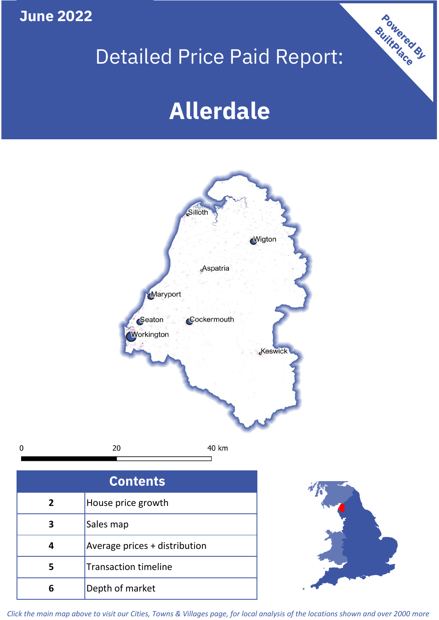**June 2022**

**5**

**4**

# Detailed Price Paid Report:

Powered By

# **Allerdale**



*Click the main map above to visit our Cities, Towns & Villages page, for local analysis of the locations shown and over 2000 more*

Average prices + distribution

Transaction timeline

**6** Depth of market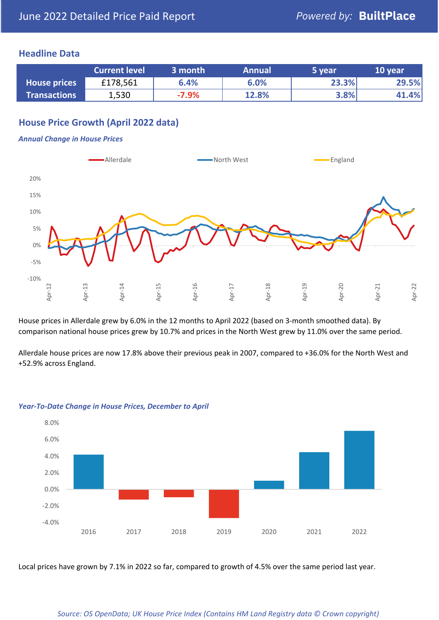# **Headline Data**

|                     | <b>Current level</b> | 3 month | <b>Annual</b> | 5 year | 10 year               |
|---------------------|----------------------|---------|---------------|--------|-----------------------|
| <b>House prices</b> | £178,561             | 6.4%    | 6.0%          | 23.3%  | 29.5%                 |
| <b>Transactions</b> | 1,530                | $-7.9%$ | 12.8%         | 3.8%   | $\left  .4\% \right $ |

# **House Price Growth (April 2022 data)**

### *Annual Change in House Prices*



House prices in Allerdale grew by 6.0% in the 12 months to April 2022 (based on 3-month smoothed data). By comparison national house prices grew by 10.7% and prices in the North West grew by 11.0% over the same period.

Allerdale house prices are now 17.8% above their previous peak in 2007, compared to +36.0% for the North West and +52.9% across England.



#### *Year-To-Date Change in House Prices, December to April*

Local prices have grown by 7.1% in 2022 so far, compared to growth of 4.5% over the same period last year.

#### *Source: OS OpenData; UK House Price Index (Contains HM Land Registry data © Crown copyright)*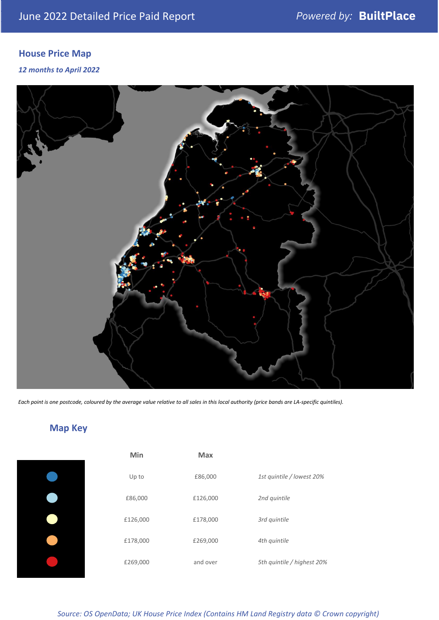# **House Price Map**

*12 months to April 2022*



*Each point is one postcode, coloured by the average value relative to all sales in this local authority (price bands are LA-specific quintiles).*

**Map Key**

| Min      | <b>Max</b> |                            |
|----------|------------|----------------------------|
| Up to    | £86,000    | 1st quintile / lowest 20%  |
| £86,000  | £126,000   | 2nd quintile               |
| £126,000 | £178,000   | 3rd quintile               |
| £178,000 | £269,000   | 4th quintile               |
| £269,000 | and over   | 5th quintile / highest 20% |

### *Source: OS OpenData; UK House Price Index (Contains HM Land Registry data © Crown copyright)*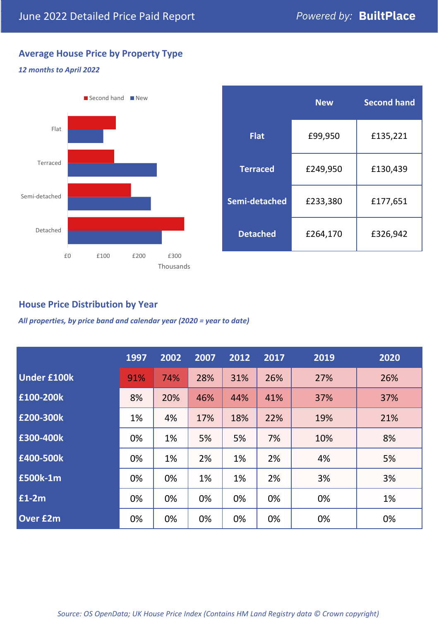# **Average House Price by Property Type**

## *12 months to April 2022*



|                 | <b>New</b> | <b>Second hand</b> |  |  |
|-----------------|------------|--------------------|--|--|
| <b>Flat</b>     | £99,950    | £135,221           |  |  |
| <b>Terraced</b> | £249,950   | £130,439           |  |  |
| Semi-detached   | £233,380   | £177,651           |  |  |
| <b>Detached</b> | £264,170   | £326,942           |  |  |

# **House Price Distribution by Year**

*All properties, by price band and calendar year (2020 = year to date)*

|                    | 1997 | 2002 | 2007 | 2012 | 2017 | 2019 | 2020 |
|--------------------|------|------|------|------|------|------|------|
| <b>Under £100k</b> | 91%  | 74%  | 28%  | 31%  | 26%  | 27%  | 26%  |
| £100-200k          | 8%   | 20%  | 46%  | 44%  | 41%  | 37%  | 37%  |
| E200-300k          | 1%   | 4%   | 17%  | 18%  | 22%  | 19%  | 21%  |
| £300-400k          | 0%   | 1%   | 5%   | 5%   | 7%   | 10%  | 8%   |
| £400-500k          | 0%   | 1%   | 2%   | 1%   | 2%   | 4%   | 5%   |
| £500k-1m           | 0%   | 0%   | 1%   | 1%   | 2%   | 3%   | 3%   |
| £1-2m              | 0%   | 0%   | 0%   | 0%   | 0%   | 0%   | 1%   |
| <b>Over £2m</b>    | 0%   | 0%   | 0%   | 0%   | 0%   | 0%   | 0%   |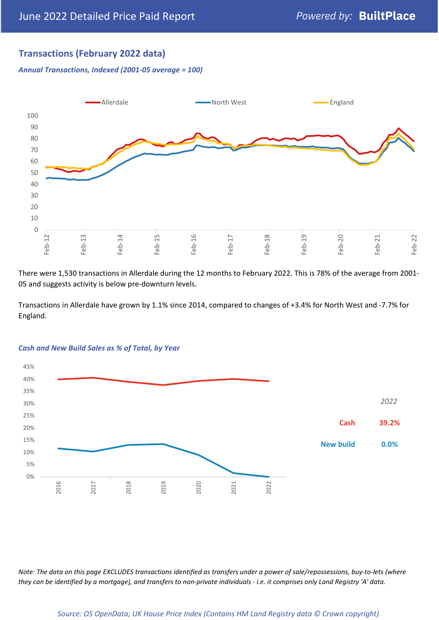# **Transactions (February 2022 data)**

*Annual Transactions, Indexed (2001-05 average = 100)*



There were 1,530 transactions in Allerdale during the 12 months to February 2022. This is 78% of the average from 2001- 05 and suggests activity is below pre-downturn levels.

Transactions in Allerdale have grown by 1.1% since 2014, compared to changes of +3.4% for North West and -7.7% for England.



#### *Cash and New Build Sales as % of Total, by Year*

*Note: The data on this page EXCLUDES transactions identified as transfers under a power of sale/repossessions, buy-to-lets (where they can be identified by a mortgage), and transfers to non-private individuals - i.e. it comprises only Land Registry 'A' data.*